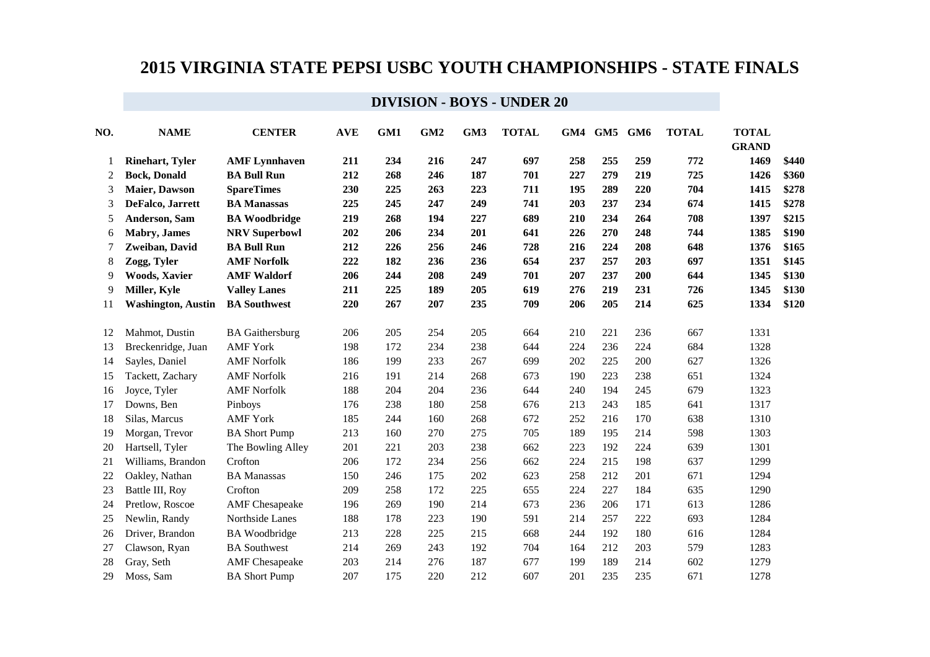| NO. | <b>NAME</b>               | <b>CENTER</b>          | <b>AVE</b> | GM1 | GM <sub>2</sub> | GM3 | <b>TOTAL</b> | GM4 | GM5 GM6 |     | <b>TOTAL</b> | <b>TOTAL</b><br><b>GRAND</b> |       |
|-----|---------------------------|------------------------|------------|-----|-----------------|-----|--------------|-----|---------|-----|--------------|------------------------------|-------|
| 1   | <b>Rinehart, Tyler</b>    | <b>AMF</b> Lynnhaven   | 211        | 234 | 216             | 247 | 697          | 258 | 255     | 259 | 772          | 1469                         | \$440 |
| 2   | <b>Bock, Donald</b>       | <b>BA Bull Run</b>     | 212        | 268 | 246             | 187 | 701          | 227 | 279     | 219 | 725          | 1426                         | \$360 |
| 3   | Maier, Dawson             | <b>SpareTimes</b>      | 230        | 225 | 263             | 223 | 711          | 195 | 289     | 220 | 704          | 1415                         | \$278 |
| 3   | DeFalco, Jarrett          | <b>BA Manassas</b>     | 225        | 245 | 247             | 249 | 741          | 203 | 237     | 234 | 674          | 1415                         | \$278 |
| 5   | Anderson, Sam             | <b>BA Woodbridge</b>   | 219        | 268 | 194             | 227 | 689          | 210 | 234     | 264 | 708          | 1397                         | \$215 |
| 6   | <b>Mabry</b> , James      | <b>NRV Superbowl</b>   | 202        | 206 | 234             | 201 | 641          | 226 | 270     | 248 | 744          | 1385                         | \$190 |
| 7   | Zweiban, David            | <b>BA Bull Run</b>     | 212        | 226 | 256             | 246 | 728          | 216 | 224     | 208 | 648          | 1376                         | \$165 |
| 8   | Zogg, Tyler               | <b>AMF Norfolk</b>     | 222        | 182 | 236             | 236 | 654          | 237 | 257     | 203 | 697          | 1351                         | \$145 |
| 9   | <b>Woods, Xavier</b>      | <b>AMF Waldorf</b>     | 206        | 244 | 208             | 249 | 701          | 207 | 237     | 200 | 644          | 1345                         | \$130 |
| 9   | Miller, Kyle              | <b>Valley Lanes</b>    | 211        | 225 | 189             | 205 | 619          | 276 | 219     | 231 | 726          | 1345                         | \$130 |
| 11  | <b>Washington, Austin</b> | <b>BA</b> Southwest    | 220        | 267 | 207             | 235 | 709          | 206 | 205     | 214 | 625          | 1334                         | \$120 |
| 12  | Mahmot, Dustin            | <b>BA</b> Gaithersburg | 206        | 205 | 254             | 205 | 664          | 210 | 221     | 236 | 667          | 1331                         |       |
| 13  | Breckenridge, Juan        | <b>AMF York</b>        | 198        | 172 | 234             | 238 | 644          | 224 | 236     | 224 | 684          | 1328                         |       |
| 14  | Sayles, Daniel            | <b>AMF Norfolk</b>     | 186        | 199 | 233             | 267 | 699          | 202 | 225     | 200 | 627          | 1326                         |       |
| 15  | Tackett, Zachary          | <b>AMF</b> Norfolk     | 216        | 191 | 214             | 268 | 673          | 190 | 223     | 238 | 651          | 1324                         |       |
| 16  | Joyce, Tyler              | <b>AMF Norfolk</b>     | 188        | 204 | 204             | 236 | 644          | 240 | 194     | 245 | 679          | 1323                         |       |
| 17  | Downs, Ben                | Pinboys                | 176        | 238 | 180             | 258 | 676          | 213 | 243     | 185 | 641          | 1317                         |       |
| 18  | Silas, Marcus             | <b>AMF</b> York        | 185        | 244 | 160             | 268 | 672          | 252 | 216     | 170 | 638          | 1310                         |       |
| 19  | Morgan, Trevor            | <b>BA Short Pump</b>   | 213        | 160 | 270             | 275 | 705          | 189 | 195     | 214 | 598          | 1303                         |       |
| 20  | Hartsell, Tyler           | The Bowling Alley      | 201        | 221 | 203             | 238 | 662          | 223 | 192     | 224 | 639          | 1301                         |       |
| 21  | Williams, Brandon         | Crofton                | 206        | 172 | 234             | 256 | 662          | 224 | 215     | 198 | 637          | 1299                         |       |
| 22  | Oakley, Nathan            | <b>BA</b> Manassas     | 150        | 246 | 175             | 202 | 623          | 258 | 212     | 201 | 671          | 1294                         |       |
| 23  | Battle III, Roy           | Crofton                | 209        | 258 | 172             | 225 | 655          | 224 | 227     | 184 | 635          | 1290                         |       |
| 24  | Pretlow, Roscoe           | <b>AMF</b> Chesapeake  | 196        | 269 | 190             | 214 | 673          | 236 | 206     | 171 | 613          | 1286                         |       |
| 25  | Newlin, Randy             | Northside Lanes        | 188        | 178 | 223             | 190 | 591          | 214 | 257     | 222 | 693          | 1284                         |       |
| 26  | Driver, Brandon           | <b>BA</b> Woodbridge   | 213        | 228 | 225             | 215 | 668          | 244 | 192     | 180 | 616          | 1284                         |       |
| 27  | Clawson, Ryan             | <b>BA</b> Southwest    | 214        | 269 | 243             | 192 | 704          | 164 | 212     | 203 | 579          | 1283                         |       |
| 28  | Gray, Seth                | <b>AMF</b> Chesapeake  | 203        | 214 | 276             | 187 | 677          | 199 | 189     | 214 | 602          | 1279                         |       |
| 29  | Moss, Sam                 | <b>BA Short Pump</b>   | 207        | 175 | 220             | 212 | 607          | 201 | 235     | 235 | 671          | 1278                         |       |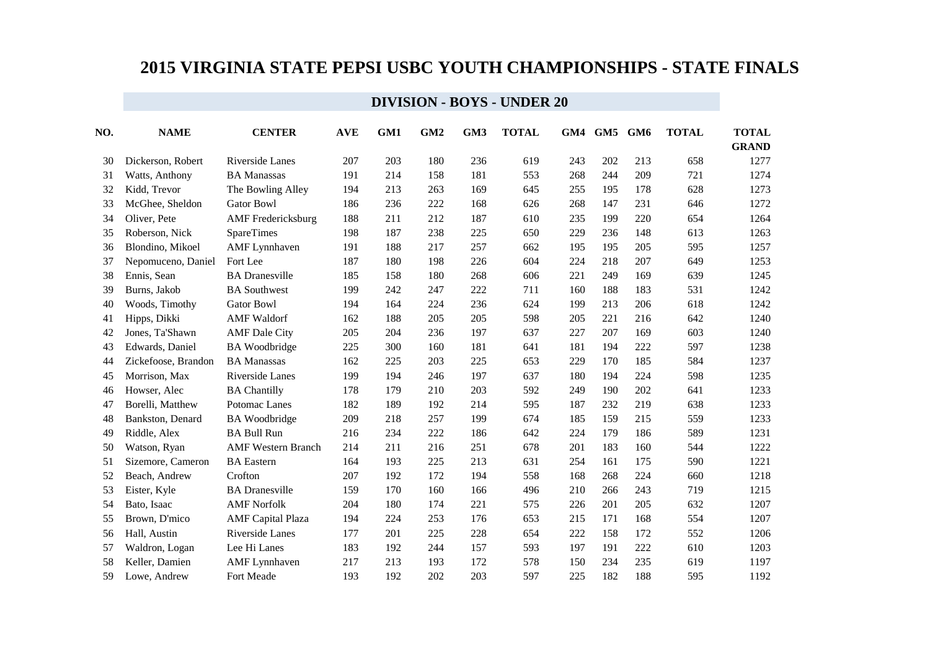| NO. | <b>NAME</b>         | <b>CENTER</b>             | <b>AVE</b> | GM1 | GM <sub>2</sub> | GM <sub>3</sub> | <b>TOTAL</b> |     | GM4 GM5 | GM6 | <b>TOTAL</b> | <b>TOTAL</b><br><b>GRAND</b> |
|-----|---------------------|---------------------------|------------|-----|-----------------|-----------------|--------------|-----|---------|-----|--------------|------------------------------|
| 30  | Dickerson, Robert   | Riverside Lanes           | 207        | 203 | 180             | 236             | 619          | 243 | 202     | 213 | 658          | 1277                         |
| 31  | Watts, Anthony      | <b>BA Manassas</b>        | 191        | 214 | 158             | 181             | 553          | 268 | 244     | 209 | 721          | 1274                         |
| 32  | Kidd, Trevor        | The Bowling Alley         | 194        | 213 | 263             | 169             | 645          | 255 | 195     | 178 | 628          | 1273                         |
| 33  | McGhee, Sheldon     | <b>Gator Bowl</b>         | 186        | 236 | 222             | 168             | 626          | 268 | 147     | 231 | 646          | 1272                         |
| 34  | Oliver, Pete        | <b>AMF</b> Fredericksburg | 188        | 211 | 212             | 187             | 610          | 235 | 199     | 220 | 654          | 1264                         |
| 35  | Roberson, Nick      | <b>SpareTimes</b>         | 198        | 187 | 238             | 225             | 650          | 229 | 236     | 148 | 613          | 1263                         |
| 36  | Blondino, Mikoel    | <b>AMF</b> Lynnhaven      | 191        | 188 | 217             | 257             | 662          | 195 | 195     | 205 | 595          | 1257                         |
| 37  | Nepomuceno, Daniel  | Fort Lee                  | 187        | 180 | 198             | 226             | 604          | 224 | 218     | 207 | 649          | 1253                         |
| 38  | Ennis, Sean         | <b>BA</b> Dranesville     | 185        | 158 | 180             | 268             | 606          | 221 | 249     | 169 | 639          | 1245                         |
| 39  | Burns, Jakob        | <b>BA</b> Southwest       | 199        | 242 | 247             | 222             | 711          | 160 | 188     | 183 | 531          | 1242                         |
| 40  | Woods, Timothy      | <b>Gator Bowl</b>         | 194        | 164 | 224             | 236             | 624          | 199 | 213     | 206 | 618          | 1242                         |
| 41  | Hipps, Dikki        | <b>AMF</b> Waldorf        | 162        | 188 | 205             | 205             | 598          | 205 | 221     | 216 | 642          | 1240                         |
| 42  | Jones, Ta'Shawn     | <b>AMF</b> Dale City      | 205        | 204 | 236             | 197             | 637          | 227 | 207     | 169 | 603          | 1240                         |
| 43  | Edwards, Daniel     | <b>BA</b> Woodbridge      | 225        | 300 | 160             | 181             | 641          | 181 | 194     | 222 | 597          | 1238                         |
| 44  | Zickefoose, Brandon | <b>BA</b> Manassas        | 162        | 225 | 203             | 225             | 653          | 229 | 170     | 185 | 584          | 1237                         |
| 45  | Morrison, Max       | Riverside Lanes           | 199        | 194 | 246             | 197             | 637          | 180 | 194     | 224 | 598          | 1235                         |
| 46  | Howser, Alec        | <b>BA Chantilly</b>       | 178        | 179 | 210             | 203             | 592          | 249 | 190     | 202 | 641          | 1233                         |
| 47  | Borelli, Matthew    | Potomac Lanes             | 182        | 189 | 192             | 214             | 595          | 187 | 232     | 219 | 638          | 1233                         |
| 48  | Bankston, Denard    | <b>BA</b> Woodbridge      | 209        | 218 | 257             | 199             | 674          | 185 | 159     | 215 | 559          | 1233                         |
| 49  | Riddle, Alex        | <b>BA Bull Run</b>        | 216        | 234 | 222             | 186             | 642          | 224 | 179     | 186 | 589          | 1231                         |
| 50  | Watson, Ryan        | <b>AMF Western Branch</b> | 214        | 211 | 216             | 251             | 678          | 201 | 183     | 160 | 544          | 1222                         |
| 51  | Sizemore, Cameron   | <b>BA</b> Eastern         | 164        | 193 | 225             | 213             | 631          | 254 | 161     | 175 | 590          | 1221                         |
| 52  | Beach, Andrew       | Crofton                   | 207        | 192 | 172             | 194             | 558          | 168 | 268     | 224 | 660          | 1218                         |
| 53  | Eister, Kyle        | <b>BA</b> Dranesville     | 159        | 170 | 160             | 166             | 496          | 210 | 266     | 243 | 719          | 1215                         |
| 54  | Bato, Isaac         | <b>AMF</b> Norfolk        | 204        | 180 | 174             | 221             | 575          | 226 | 201     | 205 | 632          | 1207                         |
| 55  | Brown, D'mico       | <b>AMF</b> Capital Plaza  | 194        | 224 | 253             | 176             | 653          | 215 | 171     | 168 | 554          | 1207                         |
| 56  | Hall, Austin        | Riverside Lanes           | 177        | 201 | 225             | 228             | 654          | 222 | 158     | 172 | 552          | 1206                         |
| 57  | Waldron, Logan      | Lee Hi Lanes              | 183        | 192 | 244             | 157             | 593          | 197 | 191     | 222 | 610          | 1203                         |
| 58  | Keller, Damien      | <b>AMF</b> Lynnhaven      | 217        | 213 | 193             | 172             | 578          | 150 | 234     | 235 | 619          | 1197                         |
| 59  | Lowe, Andrew        | Fort Meade                | 193        | 192 | 202             | 203             | 597          | 225 | 182     | 188 | 595          | 1192                         |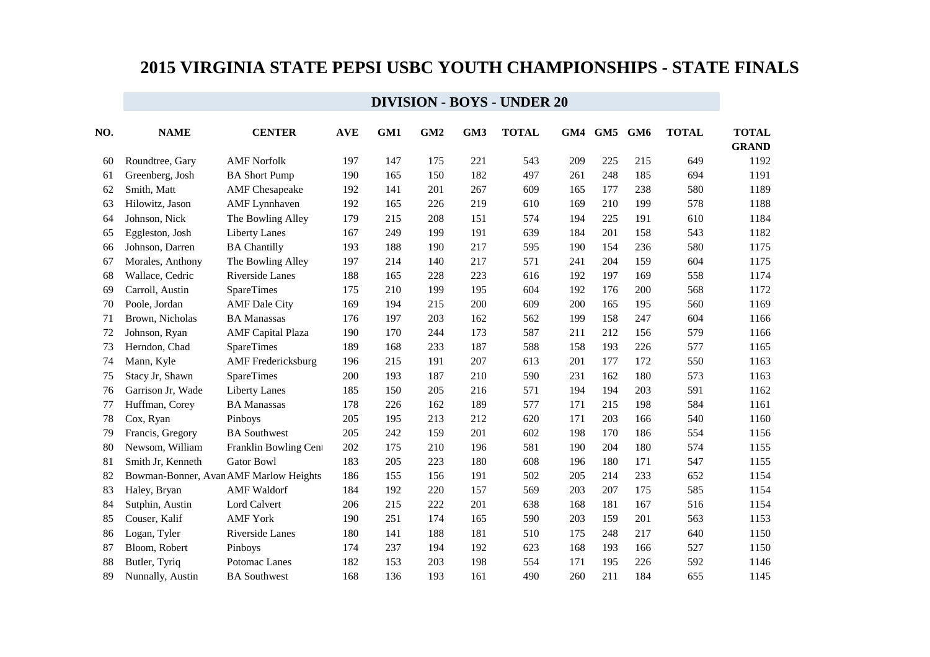| NO. | <b>NAME</b>       | <b>CENTER</b>                          | <b>AVE</b> | GM1 | GM <sub>2</sub> | GM3 | <b>TOTAL</b> |     | GM4 GM5 | GM6 | <b>TOTAL</b> | <b>TOTAL</b><br><b>GRAND</b> |
|-----|-------------------|----------------------------------------|------------|-----|-----------------|-----|--------------|-----|---------|-----|--------------|------------------------------|
| 60  | Roundtree, Gary   | <b>AMF Norfolk</b>                     | 197        | 147 | 175             | 221 | 543          | 209 | 225     | 215 | 649          | 1192                         |
| 61  | Greenberg, Josh   | <b>BA Short Pump</b>                   | 190        | 165 | 150             | 182 | 497          | 261 | 248     | 185 | 694          | 1191                         |
| 62  | Smith, Matt       | <b>AMF</b> Chesapeake                  | 192        | 141 | 201             | 267 | 609          | 165 | 177     | 238 | 580          | 1189                         |
| 63  | Hilowitz, Jason   | <b>AMF</b> Lynnhaven                   | 192        | 165 | 226             | 219 | 610          | 169 | 210     | 199 | 578          | 1188                         |
| 64  | Johnson, Nick     | The Bowling Alley                      | 179        | 215 | 208             | 151 | 574          | 194 | 225     | 191 | 610          | 1184                         |
| 65  | Eggleston, Josh   | <b>Liberty Lanes</b>                   | 167        | 249 | 199             | 191 | 639          | 184 | 201     | 158 | 543          | 1182                         |
| 66  | Johnson, Darren   | <b>BA Chantilly</b>                    | 193        | 188 | 190             | 217 | 595          | 190 | 154     | 236 | 580          | 1175                         |
| 67  | Morales, Anthony  | The Bowling Alley                      | 197        | 214 | 140             | 217 | 571          | 241 | 204     | 159 | 604          | 1175                         |
| 68  | Wallace, Cedric   | Riverside Lanes                        | 188        | 165 | 228             | 223 | 616          | 192 | 197     | 169 | 558          | 1174                         |
| 69  | Carroll, Austin   | <b>SpareTimes</b>                      | 175        | 210 | 199             | 195 | 604          | 192 | 176     | 200 | 568          | 1172                         |
| 70  | Poole, Jordan     | <b>AMF</b> Dale City                   | 169        | 194 | 215             | 200 | 609          | 200 | 165     | 195 | 560          | 1169                         |
| 71  | Brown, Nicholas   | <b>BA Manassas</b>                     | 176        | 197 | 203             | 162 | 562          | 199 | 158     | 247 | 604          | 1166                         |
| 72  | Johnson, Ryan     | <b>AMF</b> Capital Plaza               | 190        | 170 | 244             | 173 | 587          | 211 | 212     | 156 | 579          | 1166                         |
| 73  | Herndon, Chad     | <b>SpareTimes</b>                      | 189        | 168 | 233             | 187 | 588          | 158 | 193     | 226 | 577          | 1165                         |
| 74  | Mann, Kyle        | <b>AMF</b> Fredericksburg              | 196        | 215 | 191             | 207 | 613          | 201 | 177     | 172 | 550          | 1163                         |
| 75  | Stacy Jr, Shawn   | <b>SpareTimes</b>                      | 200        | 193 | 187             | 210 | 590          | 231 | 162     | 180 | 573          | 1163                         |
| 76  | Garrison Jr, Wade | <b>Liberty Lanes</b>                   | 185        | 150 | 205             | 216 | 571          | 194 | 194     | 203 | 591          | 1162                         |
| 77  | Huffman, Corey    | <b>BA Manassas</b>                     | 178        | 226 | 162             | 189 | 577          | 171 | 215     | 198 | 584          | 1161                         |
| 78  | Cox, Ryan         | Pinboys                                | 205        | 195 | 213             | 212 | 620          | 171 | 203     | 166 | 540          | 1160                         |
| 79  | Francis, Gregory  | <b>BA</b> Southwest                    | 205        | 242 | 159             | 201 | 602          | 198 | 170     | 186 | 554          | 1156                         |
| 80  | Newsom, William   | Franklin Bowling Cent                  | 202        | 175 | 210             | 196 | 581          | 190 | 204     | 180 | 574          | 1155                         |
| 81  | Smith Jr, Kenneth | <b>Gator Bowl</b>                      | 183        | 205 | 223             | 180 | 608          | 196 | 180     | 171 | 547          | 1155                         |
| 82  |                   | Bowman-Bonner, Avan AMF Marlow Heights | 186        | 155 | 156             | 191 | 502          | 205 | 214     | 233 | 652          | 1154                         |
| 83  | Haley, Bryan      | <b>AMF</b> Waldorf                     | 184        | 192 | 220             | 157 | 569          | 203 | 207     | 175 | 585          | 1154                         |
| 84  | Sutphin, Austin   | Lord Calvert                           | 206        | 215 | 222             | 201 | 638          | 168 | 181     | 167 | 516          | 1154                         |
| 85  | Couser, Kalif     | <b>AMF York</b>                        | 190        | 251 | 174             | 165 | 590          | 203 | 159     | 201 | 563          | 1153                         |
| 86  | Logan, Tyler      | Riverside Lanes                        | 180        | 141 | 188             | 181 | 510          | 175 | 248     | 217 | 640          | 1150                         |
| 87  | Bloom, Robert     | Pinboys                                | 174        | 237 | 194             | 192 | 623          | 168 | 193     | 166 | 527          | 1150                         |
| 88  | Butler, Tyriq     | Potomac Lanes                          | 182        | 153 | 203             | 198 | 554          | 171 | 195     | 226 | 592          | 1146                         |
| 89  | Nunnally, Austin  | <b>BA</b> Southwest                    | 168        | 136 | 193             | 161 | 490          | 260 | 211     | 184 | 655          | 1145                         |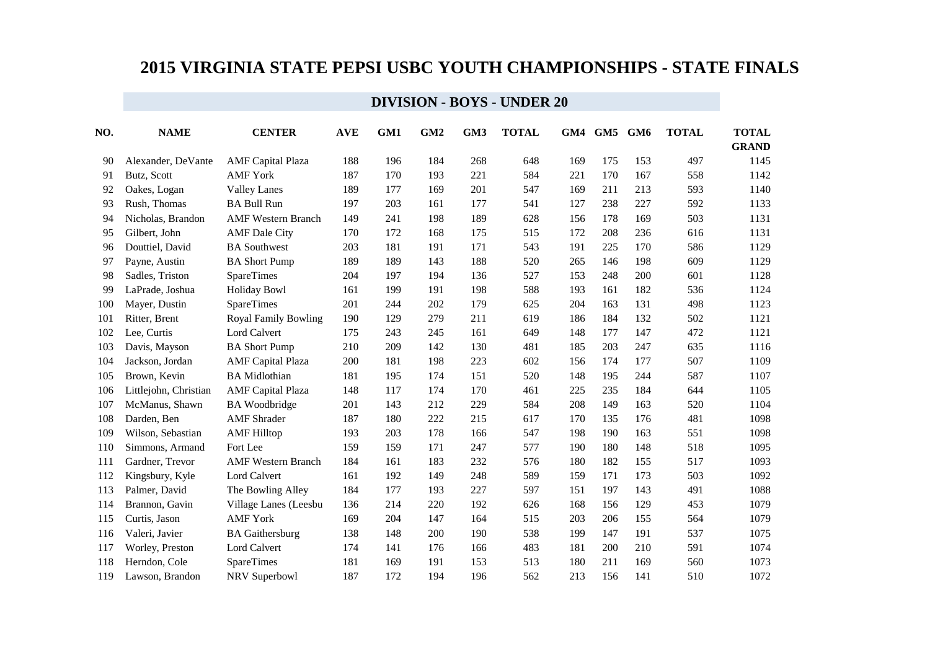| NO. | <b>NAME</b>           | <b>CENTER</b>               | <b>AVE</b> | GM1 | GM <sub>2</sub> | GM3 | <b>TOTAL</b> | GM4 | GM5 | GM6 | <b>TOTAL</b> | <b>TOTAL</b><br><b>GRAND</b> |
|-----|-----------------------|-----------------------------|------------|-----|-----------------|-----|--------------|-----|-----|-----|--------------|------------------------------|
| 90  | Alexander, DeVante    | <b>AMF</b> Capital Plaza    | 188        | 196 | 184             | 268 | 648          | 169 | 175 | 153 | 497          | 1145                         |
| 91  | Butz, Scott           | <b>AMF</b> York             | 187        | 170 | 193             | 221 | 584          | 221 | 170 | 167 | 558          | 1142                         |
| 92  | Oakes, Logan          | <b>Valley Lanes</b>         | 189        | 177 | 169             | 201 | 547          | 169 | 211 | 213 | 593          | 1140                         |
| 93  | Rush, Thomas          | <b>BA Bull Run</b>          | 197        | 203 | 161             | 177 | 541          | 127 | 238 | 227 | 592          | 1133                         |
| 94  | Nicholas, Brandon     | <b>AMF Western Branch</b>   | 149        | 241 | 198             | 189 | 628          | 156 | 178 | 169 | 503          | 1131                         |
| 95  | Gilbert, John         | <b>AMF</b> Dale City        | 170        | 172 | 168             | 175 | 515          | 172 | 208 | 236 | 616          | 1131                         |
| 96  | Douttiel, David       | <b>BA</b> Southwest         | 203        | 181 | 191             | 171 | 543          | 191 | 225 | 170 | 586          | 1129                         |
| 97  | Payne, Austin         | <b>BA Short Pump</b>        | 189        | 189 | 143             | 188 | 520          | 265 | 146 | 198 | 609          | 1129                         |
| 98  | Sadles, Triston       | SpareTimes                  | 204        | 197 | 194             | 136 | 527          | 153 | 248 | 200 | 601          | 1128                         |
| 99  | LaPrade, Joshua       | <b>Holiday Bowl</b>         | 161        | 199 | 191             | 198 | 588          | 193 | 161 | 182 | 536          | 1124                         |
| 100 | Mayer, Dustin         | <b>SpareTimes</b>           | 201        | 244 | 202             | 179 | 625          | 204 | 163 | 131 | 498          | 1123                         |
| 101 | Ritter, Brent         | <b>Royal Family Bowling</b> | 190        | 129 | 279             | 211 | 619          | 186 | 184 | 132 | 502          | 1121                         |
| 102 | Lee, Curtis           | Lord Calvert                | 175        | 243 | 245             | 161 | 649          | 148 | 177 | 147 | 472          | 1121                         |
| 103 | Davis, Mayson         | <b>BA Short Pump</b>        | 210        | 209 | 142             | 130 | 481          | 185 | 203 | 247 | 635          | 1116                         |
| 104 | Jackson, Jordan       | <b>AMF</b> Capital Plaza    | 200        | 181 | 198             | 223 | 602          | 156 | 174 | 177 | 507          | 1109                         |
| 105 | Brown, Kevin          | <b>BA</b> Midlothian        | 181        | 195 | 174             | 151 | 520          | 148 | 195 | 244 | 587          | 1107                         |
| 106 | Littlejohn, Christian | <b>AMF</b> Capital Plaza    | 148        | 117 | 174             | 170 | 461          | 225 | 235 | 184 | 644          | 1105                         |
| 107 | McManus, Shawn        | <b>BA</b> Woodbridge        | 201        | 143 | 212             | 229 | 584          | 208 | 149 | 163 | 520          | 1104                         |
| 108 | Darden, Ben           | <b>AMF</b> Shrader          | 187        | 180 | 222             | 215 | 617          | 170 | 135 | 176 | 481          | 1098                         |
| 109 | Wilson, Sebastian     | <b>AMF</b> Hilltop          | 193        | 203 | 178             | 166 | 547          | 198 | 190 | 163 | 551          | 1098                         |
| 110 | Simmons, Armand       | Fort Lee                    | 159        | 159 | 171             | 247 | 577          | 190 | 180 | 148 | 518          | 1095                         |
| 111 | Gardner, Trevor       | <b>AMF Western Branch</b>   | 184        | 161 | 183             | 232 | 576          | 180 | 182 | 155 | 517          | 1093                         |
| 112 | Kingsbury, Kyle       | Lord Calvert                | 161        | 192 | 149             | 248 | 589          | 159 | 171 | 173 | 503          | 1092                         |
| 113 | Palmer, David         | The Bowling Alley           | 184        | 177 | 193             | 227 | 597          | 151 | 197 | 143 | 491          | 1088                         |
| 114 | Brannon, Gavin        | Village Lanes (Leesbu       | 136        | 214 | 220             | 192 | 626          | 168 | 156 | 129 | 453          | 1079                         |
| 115 | Curtis, Jason         | <b>AMF York</b>             | 169        | 204 | 147             | 164 | 515          | 203 | 206 | 155 | 564          | 1079                         |
| 116 | Valeri, Javier        | <b>BA</b> Gaithersburg      | 138        | 148 | 200             | 190 | 538          | 199 | 147 | 191 | 537          | 1075                         |
| 117 | Worley, Preston       | <b>Lord Calvert</b>         | 174        | 141 | 176             | 166 | 483          | 181 | 200 | 210 | 591          | 1074                         |
| 118 | Herndon, Cole         | <b>SpareTimes</b>           | 181        | 169 | 191             | 153 | 513          | 180 | 211 | 169 | 560          | 1073                         |
| 119 | Lawson, Brandon       | NRV Superbowl               | 187        | 172 | 194             | 196 | 562          | 213 | 156 | 141 | 510          | 1072                         |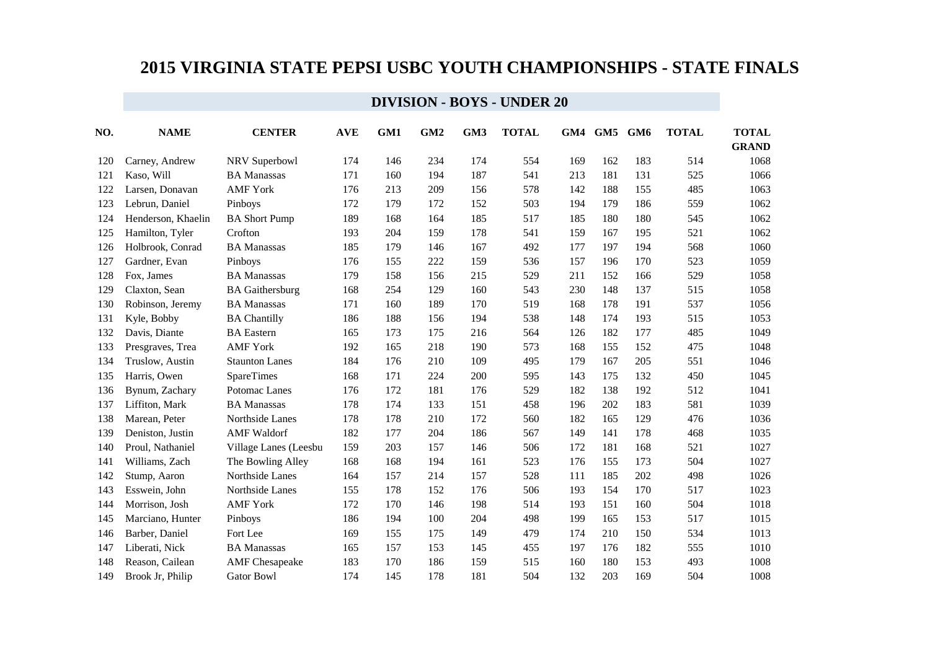| NO. | <b>NAME</b>        | <b>CENTER</b>          | <b>AVE</b> | GM1 | GM <sub>2</sub> | GM <sub>3</sub> | <b>TOTAL</b> | GM4 | GM5 | GM6 | <b>TOTAL</b> | <b>TOTAL</b><br><b>GRAND</b> |
|-----|--------------------|------------------------|------------|-----|-----------------|-----------------|--------------|-----|-----|-----|--------------|------------------------------|
| 120 | Carney, Andrew     | NRV Superbowl          | 174        | 146 | 234             | 174             | 554          | 169 | 162 | 183 | 514          | 1068                         |
| 121 | Kaso, Will         | <b>BA Manassas</b>     | 171        | 160 | 194             | 187             | 541          | 213 | 181 | 131 | 525          | 1066                         |
| 122 | Larsen, Donavan    | <b>AMF York</b>        | 176        | 213 | 209             | 156             | 578          | 142 | 188 | 155 | 485          | 1063                         |
| 123 | Lebrun, Daniel     | Pinboys                | 172        | 179 | 172             | 152             | 503          | 194 | 179 | 186 | 559          | 1062                         |
| 124 | Henderson, Khaelin | <b>BA Short Pump</b>   | 189        | 168 | 164             | 185             | 517          | 185 | 180 | 180 | 545          | 1062                         |
| 125 | Hamilton, Tyler    | Crofton                | 193        | 204 | 159             | 178             | 541          | 159 | 167 | 195 | 521          | 1062                         |
| 126 | Holbrook, Conrad   | <b>BA Manassas</b>     | 185        | 179 | 146             | 167             | 492          | 177 | 197 | 194 | 568          | 1060                         |
| 127 | Gardner, Evan      | Pinboys                | 176        | 155 | 222             | 159             | 536          | 157 | 196 | 170 | 523          | 1059                         |
| 128 | Fox, James         | <b>BA Manassas</b>     | 179        | 158 | 156             | 215             | 529          | 211 | 152 | 166 | 529          | 1058                         |
| 129 | Claxton, Sean      | <b>BA</b> Gaithersburg | 168        | 254 | 129             | 160             | 543          | 230 | 148 | 137 | 515          | 1058                         |
| 130 | Robinson, Jeremy   | <b>BA</b> Manassas     | 171        | 160 | 189             | 170             | 519          | 168 | 178 | 191 | 537          | 1056                         |
| 131 | Kyle, Bobby        | <b>BA Chantilly</b>    | 186        | 188 | 156             | 194             | 538          | 148 | 174 | 193 | 515          | 1053                         |
| 132 | Davis, Diante      | <b>BA</b> Eastern      | 165        | 173 | 175             | 216             | 564          | 126 | 182 | 177 | 485          | 1049                         |
| 133 | Presgraves, Trea   | <b>AMF York</b>        | 192        | 165 | 218             | 190             | 573          | 168 | 155 | 152 | 475          | 1048                         |
| 134 | Truslow, Austin    | <b>Staunton Lanes</b>  | 184        | 176 | 210             | 109             | 495          | 179 | 167 | 205 | 551          | 1046                         |
| 135 | Harris, Owen       | <b>SpareTimes</b>      | 168        | 171 | 224             | 200             | 595          | 143 | 175 | 132 | 450          | 1045                         |
| 136 | Bynum, Zachary     | Potomac Lanes          | 176        | 172 | 181             | 176             | 529          | 182 | 138 | 192 | 512          | 1041                         |
| 137 | Liffiton, Mark     | <b>BA</b> Manassas     | 178        | 174 | 133             | 151             | 458          | 196 | 202 | 183 | 581          | 1039                         |
| 138 | Marean, Peter      | Northside Lanes        | 178        | 178 | 210             | 172             | 560          | 182 | 165 | 129 | 476          | 1036                         |
| 139 | Deniston, Justin   | <b>AMF</b> Waldorf     | 182        | 177 | 204             | 186             | 567          | 149 | 141 | 178 | 468          | 1035                         |
| 140 | Proul, Nathaniel   | Village Lanes (Leesbu  | 159        | 203 | 157             | 146             | 506          | 172 | 181 | 168 | 521          | 1027                         |
| 141 | Williams, Zach     | The Bowling Alley      | 168        | 168 | 194             | 161             | 523          | 176 | 155 | 173 | 504          | 1027                         |
| 142 | Stump, Aaron       | Northside Lanes        | 164        | 157 | 214             | 157             | 528          | 111 | 185 | 202 | 498          | 1026                         |
| 143 | Esswein, John      | Northside Lanes        | 155        | 178 | 152             | 176             | 506          | 193 | 154 | 170 | 517          | 1023                         |
| 144 | Morrison, Josh     | <b>AMF York</b>        | 172        | 170 | 146             | 198             | 514          | 193 | 151 | 160 | 504          | 1018                         |
| 145 | Marciano, Hunter   | Pinboys                | 186        | 194 | 100             | 204             | 498          | 199 | 165 | 153 | 517          | 1015                         |
| 146 | Barber, Daniel     | Fort Lee               | 169        | 155 | 175             | 149             | 479          | 174 | 210 | 150 | 534          | 1013                         |
| 147 | Liberati, Nick     | <b>BA</b> Manassas     | 165        | 157 | 153             | 145             | 455          | 197 | 176 | 182 | 555          | 1010                         |
| 148 | Reason, Cailean    | <b>AMF</b> Chesapeake  | 183        | 170 | 186             | 159             | 515          | 160 | 180 | 153 | 493          | 1008                         |
| 149 | Brook Jr, Philip   | <b>Gator Bowl</b>      | 174        | 145 | 178             | 181             | 504          | 132 | 203 | 169 | 504          | 1008                         |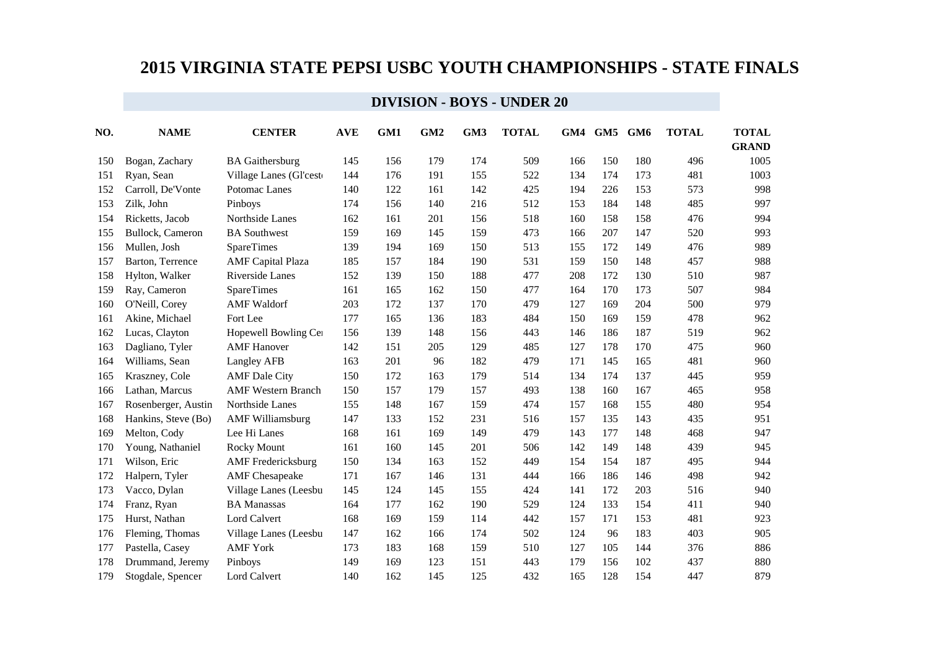| NO. | <b>NAME</b>         | <b>CENTER</b>             | <b>AVE</b> | GM1 | GM <sub>2</sub> | GM3 | <b>TOTAL</b> | GM4 | GM5 | GM6 | <b>TOTAL</b> | <b>TOTAL</b><br><b>GRAND</b> |
|-----|---------------------|---------------------------|------------|-----|-----------------|-----|--------------|-----|-----|-----|--------------|------------------------------|
| 150 | Bogan, Zachary      | <b>BA</b> Gaithersburg    | 145        | 156 | 179             | 174 | 509          | 166 | 150 | 180 | 496          | 1005                         |
| 151 | Ryan, Sean          | Village Lanes (Gl'cest    | 144        | 176 | 191             | 155 | 522          | 134 | 174 | 173 | 481          | 1003                         |
| 152 | Carroll, De'Vonte   | Potomac Lanes             | 140        | 122 | 161             | 142 | 425          | 194 | 226 | 153 | 573          | 998                          |
| 153 | Zilk, John          | Pinboys                   | 174        | 156 | 140             | 216 | 512          | 153 | 184 | 148 | 485          | 997                          |
| 154 | Ricketts, Jacob     | Northside Lanes           | 162        | 161 | 201             | 156 | 518          | 160 | 158 | 158 | 476          | 994                          |
| 155 | Bullock, Cameron    | <b>BA</b> Southwest       | 159        | 169 | 145             | 159 | 473          | 166 | 207 | 147 | 520          | 993                          |
| 156 | Mullen, Josh        | <b>SpareTimes</b>         | 139        | 194 | 169             | 150 | 513          | 155 | 172 | 149 | 476          | 989                          |
| 157 | Barton, Terrence    | <b>AMF</b> Capital Plaza  | 185        | 157 | 184             | 190 | 531          | 159 | 150 | 148 | 457          | 988                          |
| 158 | Hylton, Walker      | Riverside Lanes           | 152        | 139 | 150             | 188 | 477          | 208 | 172 | 130 | 510          | 987                          |
| 159 | Ray, Cameron        | <b>SpareTimes</b>         | 161        | 165 | 162             | 150 | 477          | 164 | 170 | 173 | 507          | 984                          |
| 160 | O'Neill, Corey      | <b>AMF</b> Waldorf        | 203        | 172 | 137             | 170 | 479          | 127 | 169 | 204 | 500          | 979                          |
| 161 | Akine, Michael      | Fort Lee                  | 177        | 165 | 136             | 183 | 484          | 150 | 169 | 159 | 478          | 962                          |
| 162 | Lucas, Clayton      | Hopewell Bowling Cer      | 156        | 139 | 148             | 156 | 443          | 146 | 186 | 187 | 519          | 962                          |
| 163 | Dagliano, Tyler     | <b>AMF</b> Hanover        | 142        | 151 | 205             | 129 | 485          | 127 | 178 | 170 | 475          | 960                          |
| 164 | Williams, Sean      | Langley AFB               | 163        | 201 | 96              | 182 | 479          | 171 | 145 | 165 | 481          | 960                          |
| 165 | Kraszney, Cole      | <b>AMF</b> Dale City      | 150        | 172 | 163             | 179 | 514          | 134 | 174 | 137 | 445          | 959                          |
| 166 | Lathan, Marcus      | <b>AMF Western Branch</b> | 150        | 157 | 179             | 157 | 493          | 138 | 160 | 167 | 465          | 958                          |
| 167 | Rosenberger, Austin | Northside Lanes           | 155        | 148 | 167             | 159 | 474          | 157 | 168 | 155 | 480          | 954                          |
| 168 | Hankins, Steve (Bo) | <b>AMF Williamsburg</b>   | 147        | 133 | 152             | 231 | 516          | 157 | 135 | 143 | 435          | 951                          |
| 169 | Melton, Cody        | Lee Hi Lanes              | 168        | 161 | 169             | 149 | 479          | 143 | 177 | 148 | 468          | 947                          |
| 170 | Young, Nathaniel    | Rocky Mount               | 161        | 160 | 145             | 201 | 506          | 142 | 149 | 148 | 439          | 945                          |
| 171 | Wilson, Eric        | <b>AMF</b> Fredericksburg | 150        | 134 | 163             | 152 | 449          | 154 | 154 | 187 | 495          | 944                          |
| 172 | Halpern, Tyler      | <b>AMF</b> Chesapeake     | 171        | 167 | 146             | 131 | 444          | 166 | 186 | 146 | 498          | 942                          |
| 173 | Vacco, Dylan        | Village Lanes (Leesbu     | 145        | 124 | 145             | 155 | 424          | 141 | 172 | 203 | 516          | 940                          |
| 174 | Franz, Ryan         | <b>BA</b> Manassas        | 164        | 177 | 162             | 190 | 529          | 124 | 133 | 154 | 411          | 940                          |
| 175 | Hurst, Nathan       | <b>Lord Calvert</b>       | 168        | 169 | 159             | 114 | 442          | 157 | 171 | 153 | 481          | 923                          |
| 176 | Fleming, Thomas     | Village Lanes (Leesbu     | 147        | 162 | 166             | 174 | 502          | 124 | 96  | 183 | 403          | 905                          |
| 177 | Pastella, Casey     | <b>AMF</b> York           | 173        | 183 | 168             | 159 | 510          | 127 | 105 | 144 | 376          | 886                          |
| 178 | Drummand, Jeremy    | Pinboys                   | 149        | 169 | 123             | 151 | 443          | 179 | 156 | 102 | 437          | 880                          |
| 179 | Stogdale, Spencer   | <b>Lord Calvert</b>       | 140        | 162 | 145             | 125 | 432          | 165 | 128 | 154 | 447          | 879                          |